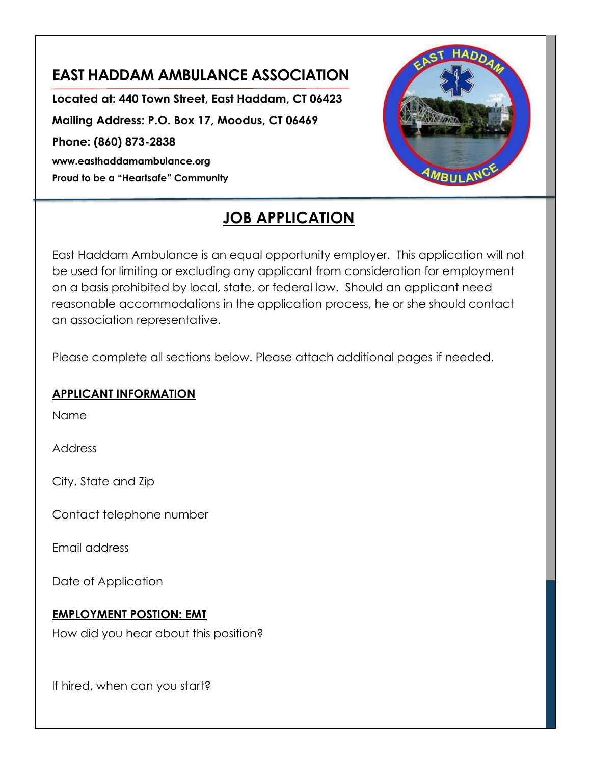# **EAST HADDAM AMBULANCE ASSOCIATION**

**Located at: 440 Town Street, East Haddam, CT 06423 Mailing Address: P.O. Box 17, Moodus, CT 06469 Phone: (860) 873-2838 www.easthaddamambulance.org Proud to be a "Heartsafe" Community**



# **JOB APPLICATION**

East Haddam Ambulance is an equal opportunity employer. This application will not be used for limiting or excluding any applicant from consideration for employment on a basis prohibited by local, state, or federal law. Should an applicant need reasonable accommodations in the application process, he or she should contact an association representative.

Please complete all sections below. Please attach additional pages if needed.

#### **APPLICANT INFORMATION**

Name

Address

City, State and Zip

Contact telephone number

Email address

Date of Application

#### **EMPLOYMENT POSTION: EMT**

How did you hear about this position?

If hired, when can you start?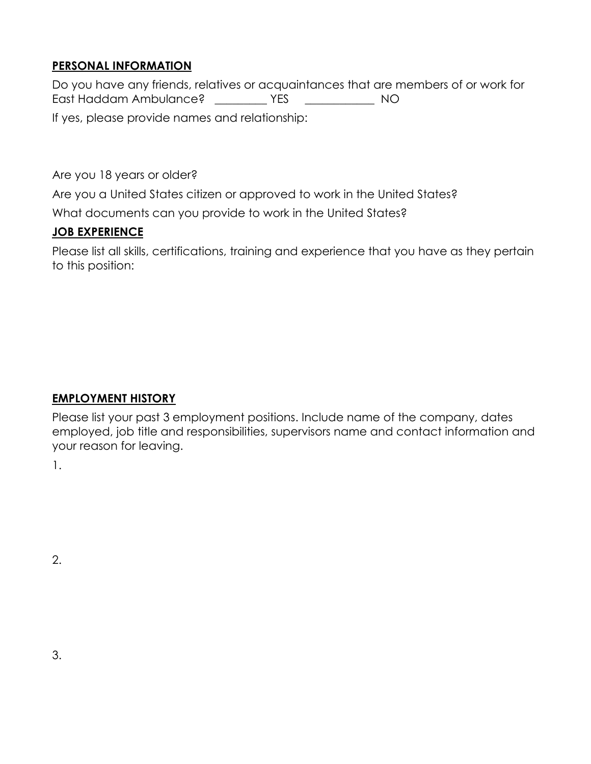#### **PERSONAL INFORMATION**

Do you have any friends, relatives or acquaintances that are members of or work for East Haddam Ambulance? \_\_\_\_\_\_\_\_\_ YES \_\_\_\_\_\_\_\_\_\_\_\_ NO If yes, please provide names and relationship:

Are you 18 years or older?

Are you a United States citizen or approved to work in the United States?

What documents can you provide to work in the United States?

## **JOB EXPERIENCE**

Please list all skills, certifications, training and experience that you have as they pertain to this position:

#### **EMPLOYMENT HISTORY**

Please list your past 3 employment positions. Include name of the company, dates employed, job title and responsibilities, supervisors name and contact information and your reason for leaving.

1.

2.